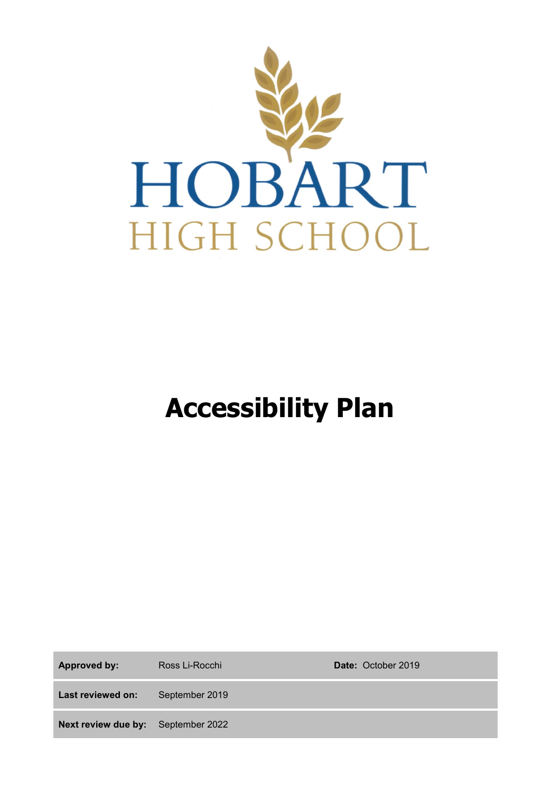

# **Accessibility Plan**

| <b>Approved by:</b>                       | Ross Li-Rocchi | <b>Date: October 2019</b> |
|-------------------------------------------|----------------|---------------------------|
| Last reviewed on:                         | September 2019 |                           |
| <b>Next review due by:</b> September 2022 |                |                           |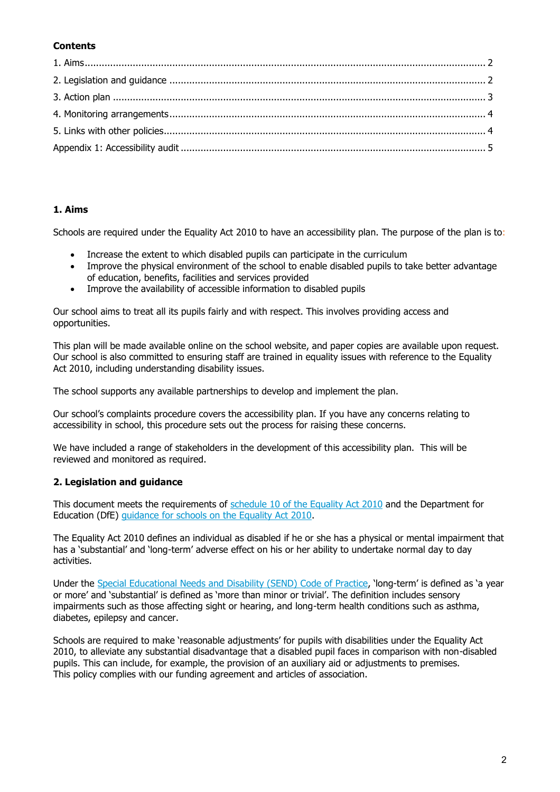### **Contents**

### **1. Aims**

Schools are required under the Equality Act 2010 to have an accessibility plan. The purpose of the plan is to:

- Increase the extent to which disabled pupils can participate in the curriculum
- Improve the physical environment of the school to enable disabled pupils to take better advantage of education, benefits, facilities and services provided
- Improve the availability of accessible information to disabled pupils

Our school aims to treat all its pupils fairly and with respect. This involves providing access and opportunities.

This plan will be made available online on the school website, and paper copies are available upon request. Our school is also committed to ensuring staff are trained in equality issues with reference to the Equality Act 2010, including understanding disability issues.

The school supports any available partnerships to develop and implement the plan.

Our school's complaints procedure covers the accessibility plan. If you have any concerns relating to accessibility in school, this procedure sets out the process for raising these concerns.

We have included a range of stakeholders in the development of this accessibility plan. This will be reviewed and monitored as required.

### **2. Legislation and guidance**

This document meets the requirements of [schedule 10 of the Equality Act 2010](http://www.legislation.gov.uk/ukpga/2010/15/schedule/10) and the Department for Education (DfE) [guidance for schools on the Equality Act 2010.](https://www.gov.uk/government/publications/equality-act-2010-advice-for-schools)

The Equality Act 2010 defines an individual as disabled if he or she has a physical or mental impairment that has a 'substantial' and 'long-term' adverse effect on his or her ability to undertake normal day to day activities.

Under the [Special Educational Needs and Disability \(SEND\) Code of Practice](https://www.gov.uk/government/publications/send-code-of-practice-0-to-25), 'long-term' is defined as 'a year or more' and 'substantial' is defined as 'more than minor or trivial'. The definition includes sensory impairments such as those affecting sight or hearing, and long-term health conditions such as asthma, diabetes, epilepsy and cancer.

Schools are required to make 'reasonable adjustments' for pupils with disabilities under the Equality Act 2010, to alleviate any substantial disadvantage that a disabled pupil faces in comparison with non-disabled pupils. This can include, for example, the provision of an auxiliary aid or adjustments to premises. This policy complies with our funding agreement and articles of association.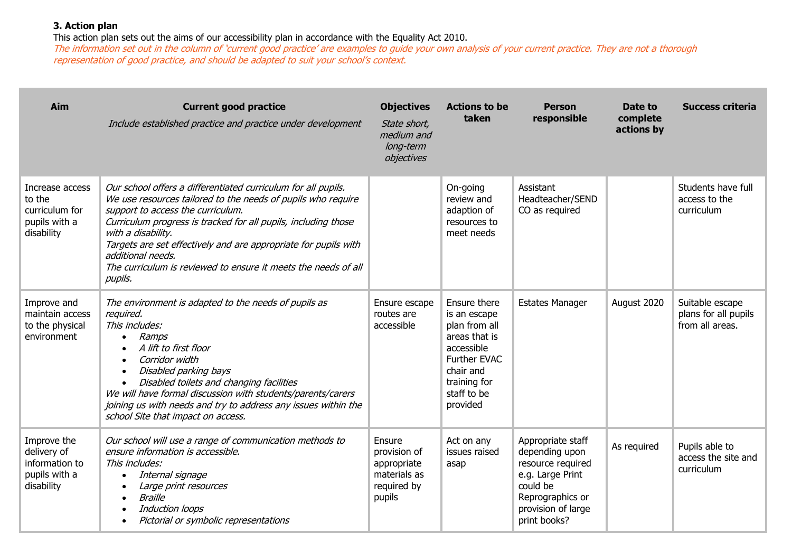## **3. Action plan**

This action plan sets out the aims of our accessibility plan in accordance with the Equality Act 2010.

The information set out in the column of 'current good practice' are examples to guide your own analysis of your current practice. They are not a thorough representation of good practice, and should be adapted to suit your school's context.

| <b>Aim</b>                                                                  | <b>Current good practice</b><br>Include established practice and practice under development                                                                                                                                                                                                                                                                                                                                     | <b>Objectives</b><br>State short,<br>medium and<br>long-term<br>objectives     | <b>Actions to be</b><br>taken                                                                                                                        | <b>Person</b><br>responsible                                                                                                                       | Date to<br>complete<br>actions by | <b>Success criteria</b>                                    |
|-----------------------------------------------------------------------------|---------------------------------------------------------------------------------------------------------------------------------------------------------------------------------------------------------------------------------------------------------------------------------------------------------------------------------------------------------------------------------------------------------------------------------|--------------------------------------------------------------------------------|------------------------------------------------------------------------------------------------------------------------------------------------------|----------------------------------------------------------------------------------------------------------------------------------------------------|-----------------------------------|------------------------------------------------------------|
| Increase access<br>to the<br>curriculum for<br>pupils with a<br>disability  | Our school offers a differentiated curriculum for all pupils.<br>We use resources tailored to the needs of pupils who require<br>support to access the curriculum.<br>Curriculum progress is tracked for all pupils, including those<br>with a disability.<br>Targets are set effectively and are appropriate for pupils with<br>additional needs.<br>The curriculum is reviewed to ensure it meets the needs of all<br>pupils. |                                                                                | On-going<br>review and<br>adaption of<br>resources to<br>meet needs                                                                                  | Assistant<br>Headteacher/SEND<br>CO as required                                                                                                    |                                   | Students have full<br>access to the<br>curriculum          |
| Improve and<br>maintain access<br>to the physical<br>environment            | The environment is adapted to the needs of pupils as<br>required.<br>This includes:<br>Ramps<br>$\bullet$<br>A lift to first floor<br>Corridor width<br>Disabled parking bays<br>Disabled toilets and changing facilities<br>We will have formal discussion with students/parents/carers<br>joining us with needs and try to address any issues within the<br>school Site that impact on access.                                | Ensure escape<br>routes are<br>accessible                                      | Ensure there<br>is an escape<br>plan from all<br>areas that is<br>accessible<br>Further EVAC<br>chair and<br>training for<br>staff to be<br>provided | <b>Estates Manager</b>                                                                                                                             | August 2020                       | Suitable escape<br>plans for all pupils<br>from all areas. |
| Improve the<br>delivery of<br>information to<br>pupils with a<br>disability | Our school will use a range of communication methods to<br>ensure information is accessible.<br>This includes:<br>Internal signage<br>$\bullet$<br>Large print resources<br><b>Braille</b><br>Induction loops<br>Pictorial or symbolic representations                                                                                                                                                                          | Ensure<br>provision of<br>appropriate<br>materials as<br>required by<br>pupils | Act on any<br>issues raised<br>asap                                                                                                                  | Appropriate staff<br>depending upon<br>resource required<br>e.g. Large Print<br>could be<br>Reprographics or<br>provision of large<br>print books? | As required                       | Pupils able to<br>access the site and<br>curriculum        |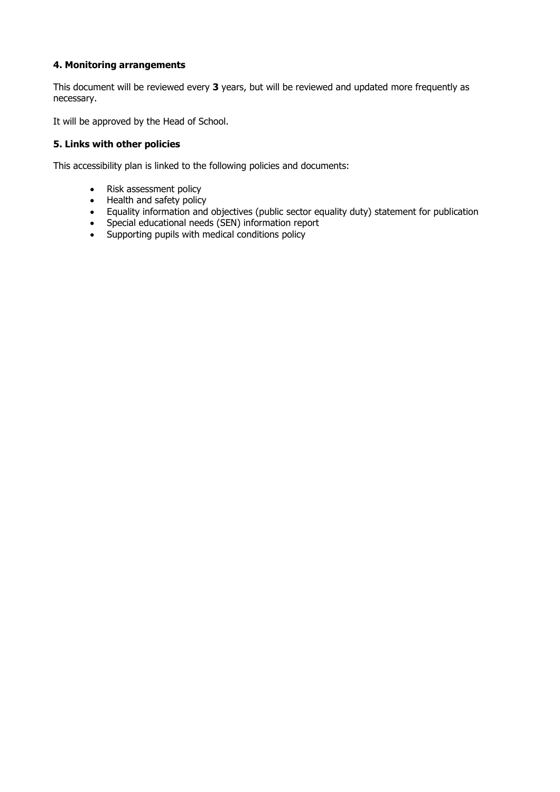## **4. Monitoring arrangements**

This document will be reviewed every **3** years, but will be reviewed and updated more frequently as necessary.

It will be approved by the Head of School.

#### **5. Links with other policies**

This accessibility plan is linked to the following policies and documents:

- Risk assessment policy
- Health and safety policy
- Equality information and objectives (public sector equality duty) statement for publication
- Special educational needs (SEN) information report
- Supporting pupils with medical conditions policy